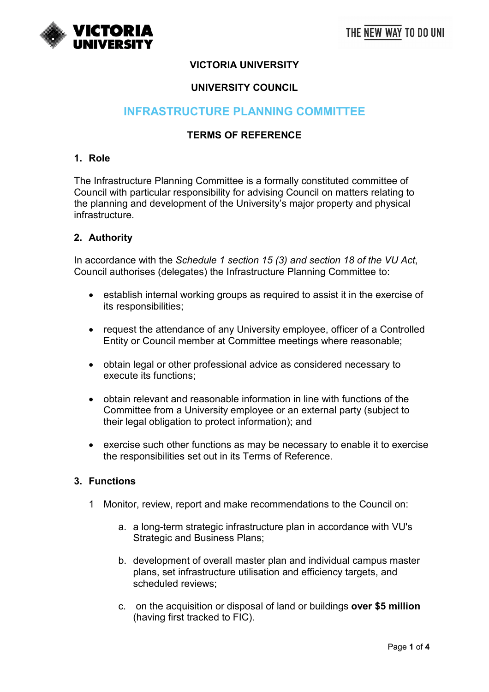## **VICTORIA UNIVERSITY**

## **UNIVERSITY COUNCIL**

# **INFRASTRUCTURE PLANNING COMMITTEE**

## **TERMS OF REFERENCE**

### **1. Role**

The Infrastructure Planning Committee is a formally constituted committee of Council with particular responsibility for advising Council on matters relating to the planning and development of the University's major property and physical infrastructure.

#### **2. Authority**

In accordance with the *Schedule 1 section 15 (3) and section 18 of the VU Act*, Council authorises (delegates) the Infrastructure Planning Committee to:

- establish internal working groups as required to assist it in the exercise of its responsibilities;
- request the attendance of any University employee, officer of a Controlled Entity or Council member at Committee meetings where reasonable;
- obtain legal or other professional advice as considered necessary to execute its functions;
- obtain relevant and reasonable information in line with functions of the Committee from a University employee or an external party (subject to their legal obligation to protect information); and
- exercise such other functions as may be necessary to enable it to exercise the responsibilities set out in its Terms of Reference.

#### **3. Functions**

- 1 Monitor, review, report and make recommendations to the Council on:
	- a. a long-term strategic infrastructure plan in accordance with VU's Strategic and Business Plans;
	- b. development of overall master plan and individual campus master plans, set infrastructure utilisation and efficiency targets, and scheduled reviews;
	- c. on the acquisition or disposal of land or buildings **over \$5 million**  (having first tracked to FIC).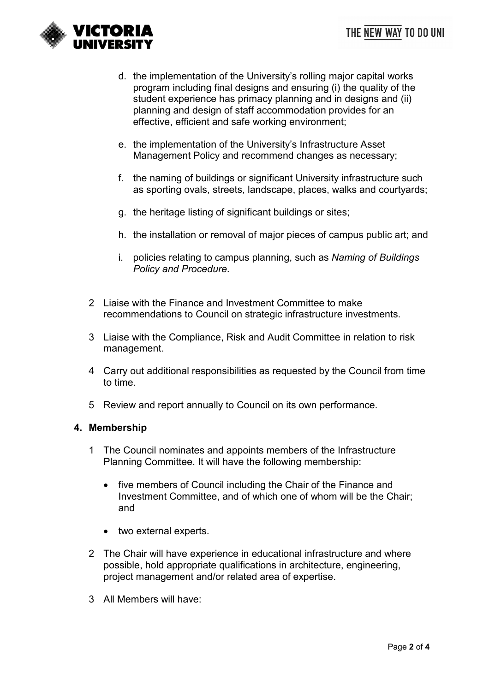

- d. the implementation of the University's rolling major capital works program including final designs and ensuring (i) the quality of the student experience has primacy planning and in designs and (ii) planning and design of staff accommodation provides for an effective, efficient and safe working environment;
- e. the implementation of the University's Infrastructure Asset Management Policy and recommend changes as necessary;
- f. the naming of buildings or significant University infrastructure such as sporting ovals, streets, landscape, places, walks and courtyards;
- g. the heritage listing of significant buildings or sites;
- h. the installation or removal of major pieces of campus public art; and
- i. policies relating to campus planning, such as *Naming of Buildings Policy and Procedure*.
- 2 Liaise with the Finance and Investment Committee to make recommendations to Council on strategic infrastructure investments.
- 3 Liaise with the Compliance, Risk and Audit Committee in relation to risk management.
- 4 Carry out additional responsibilities as requested by the Council from time to time.
- 5 Review and report annually to Council on its own performance.

#### **4. Membership**

- 1 The Council nominates and appoints members of the Infrastructure Planning Committee. It will have the following membership:
	- five members of Council including the Chair of the Finance and Investment Committee, and of which one of whom will be the Chair; and
	- two external experts.
- 2 The Chair will have experience in educational infrastructure and where possible, hold appropriate qualifications in architecture, engineering, project management and/or related area of expertise.
- 3 All Members will have: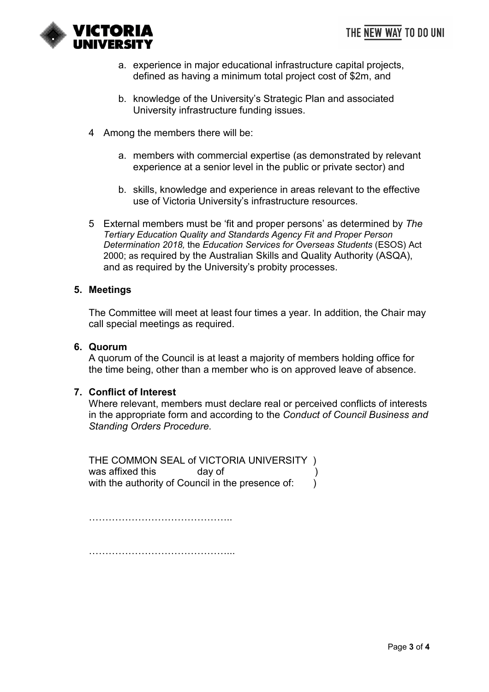

- a. experience in major educational infrastructure capital projects, defined as having a minimum total project cost of \$2m, and
- b. knowledge of the University's Strategic Plan and associated University infrastructure funding issues.
- 4 Among the members there will be:
	- a. members with commercial expertise (as demonstrated by relevant experience at a senior level in the public or private sector) and
	- b. skills, knowledge and experience in areas relevant to the effective use of Victoria University's infrastructure resources.
- 5 External members must be 'fit and proper persons' as determined by *The Tertiary Education Quality and Standards Agency Fit and Proper Person Determination 2018,* the *Education Services for Overseas Students* (ESOS) Act 2000; as required by the Australian Skills and Quality Authority (ASQA), and as required by the University's probity processes.

#### **5. Meetings**

The Committee will meet at least four times a year. In addition, the Chair may call special meetings as required.

#### **6. Quorum**

A quorum of the Council is at least a majority of members holding office for the time being, other than a member who is on approved leave of absence.

#### **7. Conflict of Interest**

Where relevant, members must declare real or perceived conflicts of interests in the appropriate form and according to the *Conduct of Council Business and Standing Orders Procedure.*

THE COMMON SEAL of VICTORIA UNIVERSITY ) was affixed this **day of** with the authority of Council in the presence of:  $\qquad$  )

……………………………………………………

……………………………………...